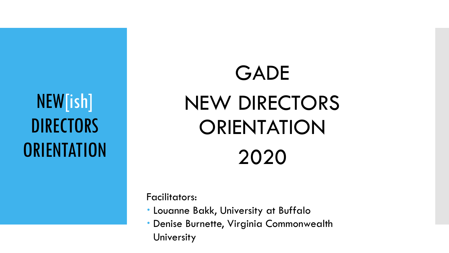NEW[ish] **DIRECTORS ORIENTATION** 

# GADE NEW DIRECTORS **ORIENTATION** 2020

Facilitators:

- Louanne Bakk, University at Buffalo
- Denise Burnette, Virginia Commonwealth University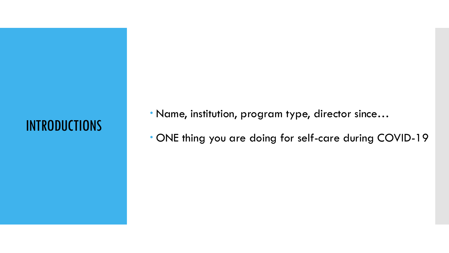## **INTRODUCTIONS**

- Name, institution, program type, director since…
- ONE thing you are doing for self-care during COVID-19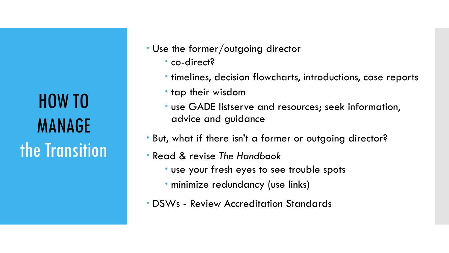HOW TO MANAGE the Transition

- Use the former/outgoing director
	- co-direct?
	- timelines, decision flowcharts, introductions, case reports
	- tap their wisdom
	- use GADE listserve and resources; seek information, advice and guidance
- But, what if there isn't a former or outgoing director?
- Read & revise *The Handbook*
	- use your fresh eyes to see trouble spots
	- minimize redundancy (use links)
- DSWs Review Accreditation Standards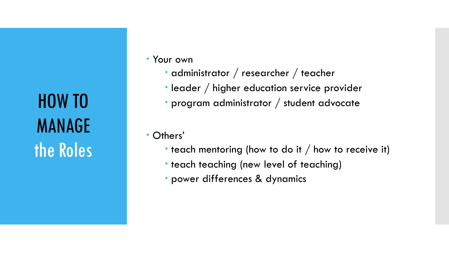HOW TO MANAGE the Roles Your own

- administrator / researcher / teacher
- leader / higher education service provider
- program administrator / student advocate
- Others'
	- $\cdot$  teach mentoring (how to do it / how to receive it)
	- teach teaching (new level of teaching)
	- power differences & dynamics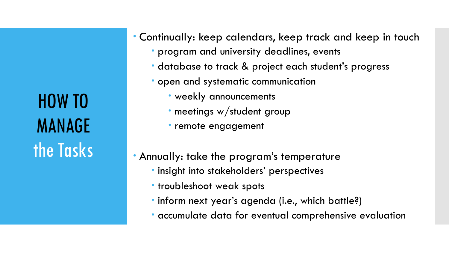HOW TO MANAGE the Tasks Continually: keep calendars, keep track and keep in touch

- program and university deadlines, events
- database to track & project each student's progress
- open and systematic communication
	- weekly announcements
	- meetings w/student group
	- remote engagement
- Annually: take the program's temperature
	- **· insight into stakeholders' perspectives**
	- troubleshoot weak spots
	- inform next year's agenda (i.e., which battle?)
	- accumulate data for eventual comprehensive evaluation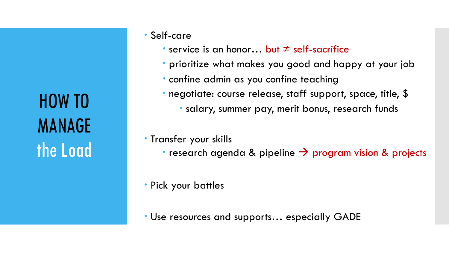HOW TO MANAGE the Load

#### Self-care

- $\cdot$  service is an honor... but  $\neq$  self-sacrifice
- prioritize what makes you good and happy at your job
- confine admin as you confine teaching
- negotiate: course release, staff support, space, title, \$
	- salary, summer pay, merit bonus, research funds
- Transfer your skills
	- $\cdot$  research agenda & pipeline  $\rightarrow$  program vision & projects
- Pick your battles

Use resources and supports… especially GADE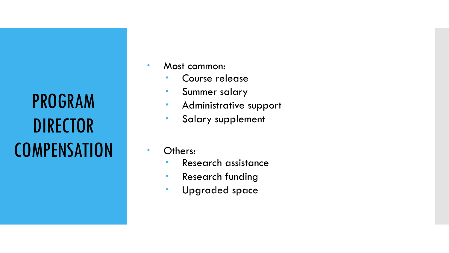PROGRAM DIRECTOR **COMPENSATION** 

- Most common:
	- Course release
	- **Summer salary**
	- Administrative support
	- **Salary supplement**
- Others:
	- **Research assistance**
	- **Research funding**
	- Upgraded space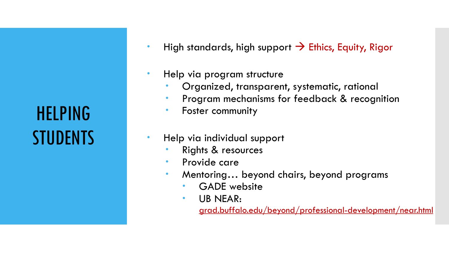HELPING **STUDENTS**   $\cdot$  High standards, high support  $\rightarrow$  Ethics, Equity, Rigor

#### **• Help via program structure**

- Organized, transparent, systematic, rational
- Program mechanisms for feedback & recognition
- **Foster community**
- Help via individual support
	- Rights & resources
	- **•** Provide care
	- Mentoring… beyond chairs, beyond programs
		- GADE website
		- UB NEAR:

[grad.buffalo.edu/beyond/professional-development/near.html](https://grad.buffalo.edu/beyond/professional-development/near.html)